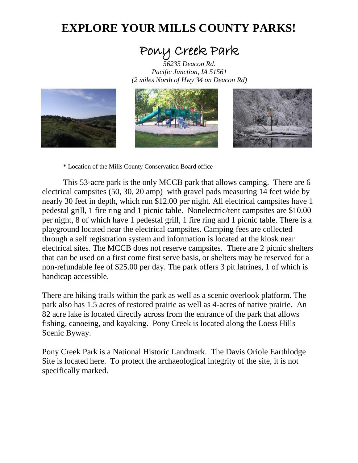## **EXPLORE YOUR MILLS COUNTY PARKS!**

## Pony Creek Park

*<sup>56235</sup> Deacon Rd. Pacific Junction, IA 51561 (2 miles North of Hwy 34 on Deacon Rd)*



\* Location of the Mills County Conservation Board office

This 53-acre park is the only MCCB park that allows camping. There are 6 electrical campsites (50, 30, 20 amp) with gravel pads measuring 14 feet wide by nearly 30 feet in depth, which run \$12.00 per night. All electrical campsites have 1 pedestal grill, 1 fire ring and 1 picnic table. Nonelectric/tent campsites are \$10.00 per night, 8 of which have 1 pedestal grill, 1 fire ring and 1 picnic table. There is a playground located near the electrical campsites. Camping fees are collected through a self registration system and information is located at the kiosk near electrical sites. The MCCB does not reserve campsites. There are 2 picnic shelters that can be used on a first come first serve basis, or shelters may be reserved for a non-refundable fee of \$25.00 per day. The park offers 3 pit latrines, 1 of which is handicap accessible.

There are hiking trails within the park as well as a scenic overlook platform. The park also has 1.5 acres of restored prairie as well as 4-acres of native prairie. An 82 acre lake is located directly across from the entrance of the park that allows fishing, canoeing, and kayaking. Pony Creek is located along the Loess Hills Scenic Byway.

Pony Creek Park is a National Historic Landmark. The Davis Oriole Earthlodge Site is located here. To protect the archaeological integrity of the site, it is not specifically marked.